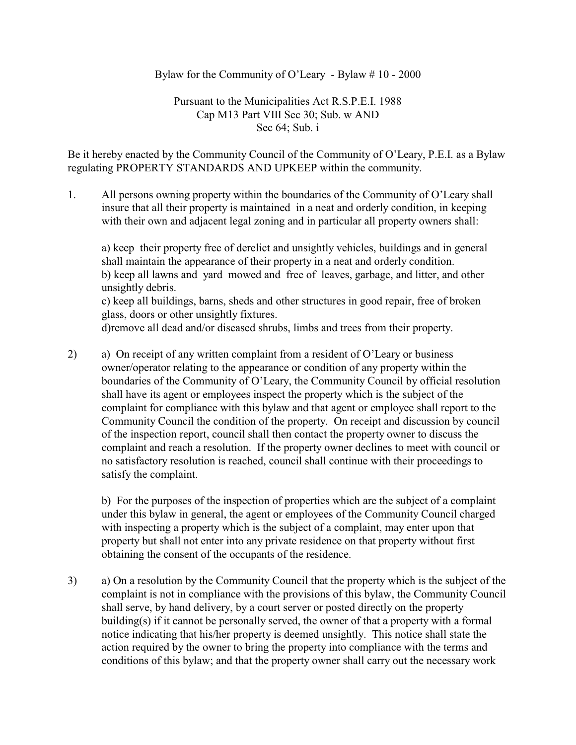## Bylaw for the Community of O'Leary - Bylaw # 10 - 2000

## Pursuant to the Municipalities Act R.S.P.E.I. 1988 Cap M13 Part VIII Sec 30; Sub. w AND Sec 64; Sub. i

Be it hereby enacted by the Community Council of the Community of O'Leary, P.E.I. as a Bylaw regulating PROPERTY STANDARDS AND UPKEEP within the community.

1. All persons owning property within the boundaries of the Community of O'Leary shall insure that all their property is maintained in a neat and orderly condition, in keeping with their own and adjacent legal zoning and in particular all property owners shall:

a) keep their property free of derelict and unsightly vehicles, buildings and in general shall maintain the appearance of their property in a neat and orderly condition. b) keep all lawns and yard mowed and free of leaves, garbage, and litter, and other unsightly debris.

c) keep all buildings, barns, sheds and other structures in good repair, free of broken glass, doors or other unsightly fixtures.

d)remove all dead and/or diseased shrubs, limbs and trees from their property.

2) a) On receipt of any written complaint from a resident of O'Leary or business owner/operator relating to the appearance or condition of any property within the boundaries of the Community of O'Leary, the Community Council by official resolution shall have its agent or employees inspect the property which is the subject of the complaint for compliance with this bylaw and that agent or employee shall report to the Community Council the condition of the property. On receipt and discussion by council of the inspection report, council shall then contact the property owner to discuss the complaint and reach a resolution. If the property owner declines to meet with council or no satisfactory resolution is reached, council shall continue with their proceedings to satisfy the complaint.

b) For the purposes of the inspection of properties which are the subject of a complaint under this bylaw in general, the agent or employees of the Community Council charged with inspecting a property which is the subject of a complaint, may enter upon that property but shall not enter into any private residence on that property without first obtaining the consent of the occupants of the residence.

3) a) On a resolution by the Community Council that the property which is the subject of the complaint is not in compliance with the provisions of this bylaw, the Community Council shall serve, by hand delivery, by a court server or posted directly on the property building(s) if it cannot be personally served, the owner of that a property with a formal notice indicating that his/her property is deemed unsightly. This notice shall state the action required by the owner to bring the property into compliance with the terms and conditions of this bylaw; and that the property owner shall carry out the necessary work